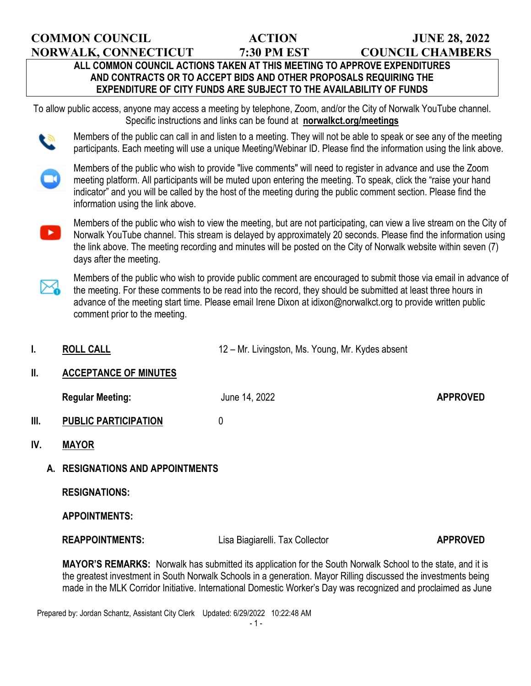**COMMON COUNCIL ACTION JUNE 28, 2022**

**NORWALK, CONNECTICUT 7:30 PM EST COUNCIL CHAMBERS**

## **ALL COMMON COUNCIL ACTIONS TAKEN AT THIS MEETING TO APPROVE EXPENDITURES AND CONTRACTS OR TO ACCEPT BIDS AND OTHER PROPOSALS REQUIRING THE EXPENDITURE OF CITY FUNDS ARE SUBJECT TO THE AVAILABILITY OF FUNDS**

To allow public access, anyone may access a meeting by telephone, Zoom, and/or the City of Norwalk YouTube channel. Specific instructions and links can be found at **norwalkct.org/meetings**

Members of the public can call in and listen to a meeting. They will not be able to speak or see any of the meeting participants. Each meeting will use a unique Meeting/Webinar ID. Please find the information using the link above.



Members of the public who wish to provide "live comments" will need to register in advance and use the Zoom meeting platform. All participants will be muted upon entering the meeting. To speak, click the "raise your hand indicator" and you will be called by the host of the meeting during the public comment section. Please find the information using the link above.



Members of the public who wish to provide public comment are encouraged to submit those via email in advance of the meeting. For these comments to be read into the record, they should be submitted at least three hours in advance of the meeting start time. Please email Irene Dixon at idixon@norwalkct.org to provide written public comment prior to the meeting.

- **I. ROLL CALL I. ROLL CALL 12** Mr. Livingston, Ms. Young, Mr. Kydes absent
- **II. ACCEPTANCE OF MINUTES**

**Regular Meeting:** The Summer of the United States of the United States APPROVED

- **III. PUBLIC PARTICIPATION** 0
- **IV. MAYOR**

## **A. RESIGNATIONS AND APPOINTMENTS**

 **RESIGNATIONS:** 

**APPOINTMENTS:** 

**REAPPOINTMENTS:** Lisa Biagiarelli. Tax Collector **APPROVED** 

**MAYOR'S REMARKS:** Norwalk has submitted its application for the South Norwalk School to the state, and it is the greatest investment in South Norwalk Schools in a generation. Mayor Rilling discussed the investments being made in the MLK Corridor Initiative. International Domestic Worker's Day was recognized and proclaimed as June

Prepared by: Jordan Schantz, Assistant City Clerk Updated: 6/29/2022 10:22:48 AM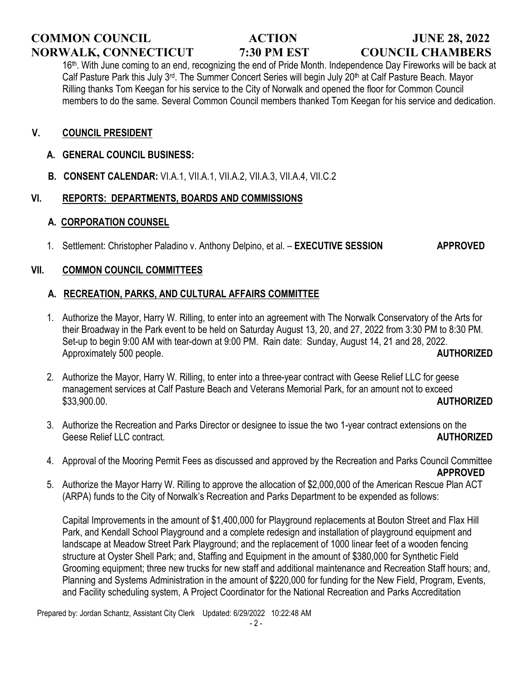# **COMMON COUNCIL ACTION JUNE 28, 2022 NORWALK, CONNECTICUT 7:30 PM EST COUNCIL CHAMBERS**

16<sup>th</sup>. With June coming to an end, recognizing the end of Pride Month. Independence Day Fireworks will be back at Calf Pasture Park this July 3rd. The Summer Concert Series will begin July 20<sup>th</sup> at Calf Pasture Beach. Mayor Rilling thanks Tom Keegan for his service to the City of Norwalk and opened the floor for Common Council members to do the same. Several Common Council members thanked Tom Keegan for his service and dedication.

## **V. COUNCIL PRESIDENT**

### **A. GENERAL COUNCIL BUSINESS:**

 **B. CONSENT CALENDAR:** VI.A.1, VII.A.1, VII.A.2, VII.A.3, VII.A.4, VII.C.2

## **VI. REPORTS: DEPARTMENTS, BOARDS AND COMMISSIONS**

### **A. CORPORATION COUNSEL**

1. Settlement: Christopher Paladino v. Anthony Delpino, et al. – **EXECUTIVE SESSION APPROVED**

### **VII. COMMON COUNCIL COMMITTEES**

## **A. RECREATION, PARKS, AND CULTURAL AFFAIRS COMMITTEE**

- 1. Authorize the Mayor, Harry W. Rilling, to enter into an agreement with The Norwalk Conservatory of the Arts for their Broadway in the Park event to be held on Saturday August 13, 20, and 27, 2022 from 3:30 PM to 8:30 PM. Set-up to begin 9:00 AM with tear-down at 9:00 PM. Rain date: Sunday, August 14, 21 and 28, 2022. Approximately 500 people. **AUTHORIZED**
- 2. Authorize the Mayor, Harry W. Rilling, to enter into a three-year contract with Geese Relief LLC for geese management services at Calf Pasture Beach and Veterans Memorial Park, for an amount not to exceed \$33,900.00. **AUTHORIZED**
- 3. Authorize the Recreation and Parks Director or designee to issue the two 1-year contract extensions on the Geese Relief LLC contract. **AUTHORIZED**
- 4. Approval of the Mooring Permit Fees as discussed and approved by the Recreation and Parks Council Committee **APPROVED**
- 5. Authorize the Mayor Harry W. Rilling to approve the allocation of \$2,000,000 of the American Rescue Plan ACT (ARPA) funds to the City of Norwalk's Recreation and Parks Department to be expended as follows:

Capital Improvements in the amount of \$1,400,000 for Playground replacements at Bouton Street and Flax Hill Park, and Kendall School Playground and a complete redesign and installation of playground equipment and landscape at Meadow Street Park Playground; and the replacement of 1000 linear feet of a wooden fencing structure at Oyster Shell Park; and, Staffing and Equipment in the amount of \$380,000 for Synthetic Field Grooming equipment; three new trucks for new staff and additional maintenance and Recreation Staff hours; and, Planning and Systems Administration in the amount of \$220,000 for funding for the New Field, Program, Events, and Facility scheduling system, A Project Coordinator for the National Recreation and Parks Accreditation

Prepared by: Jordan Schantz, Assistant City Clerk Updated: 6/29/2022 10:22:48 AM